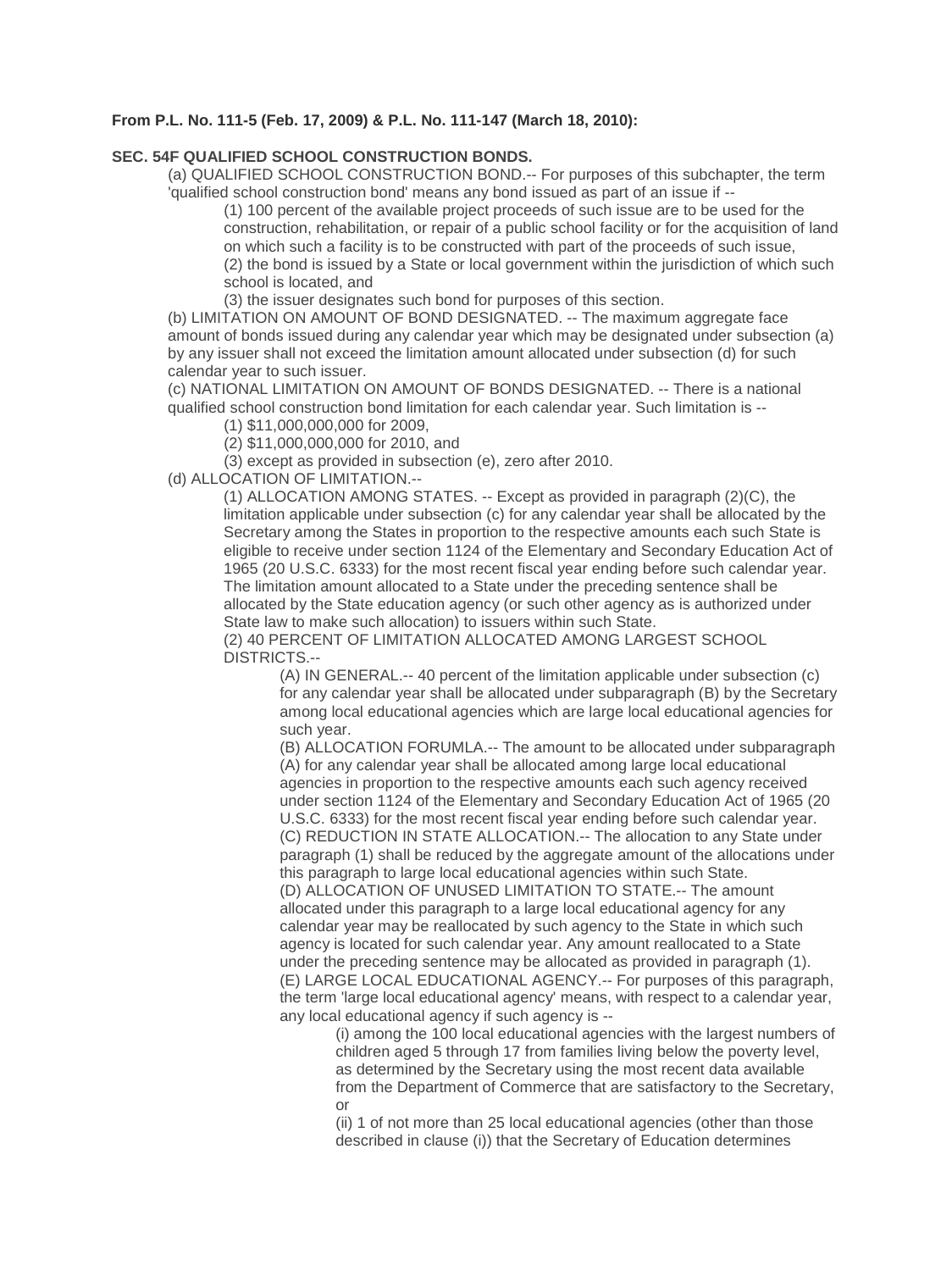## **From P.L. No. 111-5 (Feb. 17, 2009) & P.L. No. 111-147 (March 18, 2010):**

## **SEC. 54F QUALIFIED SCHOOL CONSTRUCTION BONDS.**

(a) QUALIFIED SCHOOL CONSTRUCTION BOND.-- For purposes of this subchapter, the term 'qualified school construction bond' means any bond issued as part of an issue if --

(1) 100 percent of the available project proceeds of such issue are to be used for the construction, rehabilitation, or repair of a public school facility or for the acquisition of land on which such a facility is to be constructed with part of the proceeds of such issue, (2) the bond is issued by a State or local government within the jurisdiction of which such school is located, and

(3) the issuer designates such bond for purposes of this section.

(b) LIMITATION ON AMOUNT OF BOND DESIGNATED. -- The maximum aggregate face amount of bonds issued during any calendar year which may be designated under subsection (a) by any issuer shall not exceed the limitation amount allocated under subsection (d) for such calendar year to such issuer.

(c) NATIONAL LIMITATION ON AMOUNT OF BONDS DESIGNATED. -- There is a national qualified school construction bond limitation for each calendar year. Such limitation is --

(1) \$11,000,000,000 for 2009,

(2) \$11,000,000,000 for 2010, and

or

(3) except as provided in subsection (e), zero after 2010.

(d) ALLOCATION OF LIMITATION.--

(1) ALLOCATION AMONG STATES. -- Except as provided in paragraph (2)(C), the limitation applicable under subsection (c) for any calendar year shall be allocated by the Secretary among the States in proportion to the respective amounts each such State is eligible to receive under section 1124 of the Elementary and Secondary Education Act of 1965 (20 U.S.C. 6333) for the most recent fiscal year ending before such calendar year. The limitation amount allocated to a State under the preceding sentence shall be allocated by the State education agency (or such other agency as is authorized under State law to make such allocation) to issuers within such State.

(2) 40 PERCENT OF LIMITATION ALLOCATED AMONG LARGEST SCHOOL DISTRICTS.--

> (A) IN GENERAL.-- 40 percent of the limitation applicable under subsection (c) for any calendar year shall be allocated under subparagraph (B) by the Secretary among local educational agencies which are large local educational agencies for such year.

> (B) ALLOCATION FORUMLA.-- The amount to be allocated under subparagraph (A) for any calendar year shall be allocated among large local educational agencies in proportion to the respective amounts each such agency received under section 1124 of the Elementary and Secondary Education Act of 1965 (20 U.S.C. 6333) for the most recent fiscal year ending before such calendar year. (C) REDUCTION IN STATE ALLOCATION.-- The allocation to any State under paragraph (1) shall be reduced by the aggregate amount of the allocations under this paragraph to large local educational agencies within such State. (D) ALLOCATION OF UNUSED LIMITATION TO STATE.-- The amount allocated under this paragraph to a large local educational agency for any calendar year may be reallocated by such agency to the State in which such agency is located for such calendar year. Any amount reallocated to a State under the preceding sentence may be allocated as provided in paragraph (1). (E) LARGE LOCAL EDUCATIONAL AGENCY.-- For purposes of this paragraph, the term 'large local educational agency' means, with respect to a calendar year,

> any local educational agency if such agency is -- (i) among the 100 local educational agencies with the largest numbers of children aged 5 through 17 from families living below the poverty level, as determined by the Secretary using the most recent data available from the Department of Commerce that are satisfactory to the Secretary,

(ii) 1 of not more than 25 local educational agencies (other than those described in clause (i)) that the Secretary of Education determines